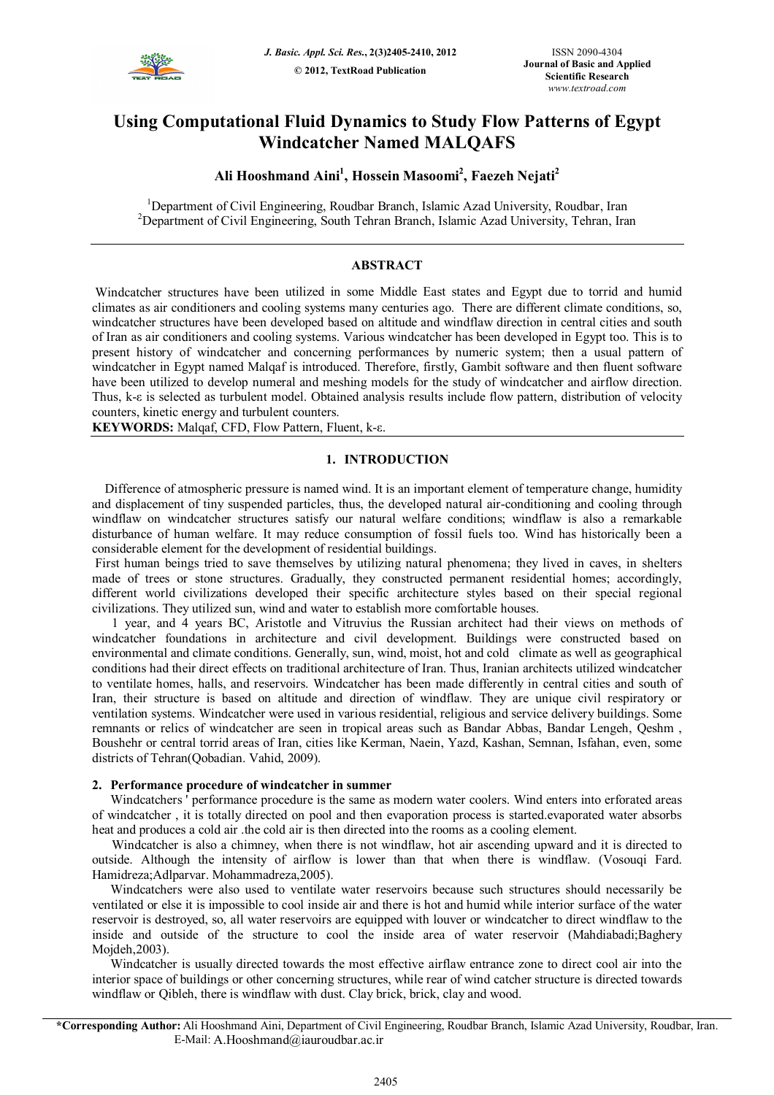

# **Using Computational Fluid Dynamics to Study Flow Patterns of Egypt Windcatcher Named MALQAFS**

## **Ali Hooshmand Aini<sup>1</sup> , Hossein Masoomi<sup>2</sup> , Faezeh Nejati<sup>2</sup>**

<sup>1</sup>Department of Civil Engineering, Roudbar Branch, Islamic Azad University, Roudbar, Iran <sup>2</sup>Department of Civil Engineering, South Tehran Branch, Islamic Azad University, Tehran, Iran

## **ABSTRACT**

Windcatcher structures have been utilized in some Middle East states and Egypt due to torrid and humid climates as air conditioners and cooling systems many centuries ago. There are different climate conditions, so, windcatcher structures have been developed based on altitude and windflaw direction in central cities and south of Iran as air conditioners and cooling systems. Various windcatcher has been developed in Egypt too. This is to present history of windcatcher and concerning performances by numeric system; then a usual pattern of windcatcher in Egypt named Malqaf is introduced. Therefore, firstly, Gambit software and then fluent software have been utilized to develop numeral and meshing models for the study of windcatcher and airflow direction. Thus, k-ε is selected as turbulent model. Obtained analysis results include flow pattern, distribution of velocity counters, kinetic energy and turbulent counters.

**KEYWORDS:** Malqaf, CFD, Flow Pattern, Fluent, k-ε.

## **1. INTRODUCTION**

 Difference of atmospheric pressure is named wind. It is an important element of temperature change, humidity and displacement of tiny suspended particles, thus, the developed natural air-conditioning and cooling through windflaw on windcatcher structures satisfy our natural welfare conditions; windflaw is also a remarkable disturbance of human welfare. It may reduce consumption of fossil fuels too. Wind has historically been a considerable element for the development of residential buildings.

First human beings tried to save themselves by utilizing natural phenomena; they lived in caves, in shelters made of trees or stone structures. Gradually, they constructed permanent residential homes; accordingly, different world civilizations developed their specific architecture styles based on their special regional civilizations. They utilized sun, wind and water to establish more comfortable houses.

1 year, and 4 years BC, Aristotle and Vitruvius the Russian architect had their views on methods of windcatcher foundations in architecture and civil development. Buildings were constructed based on environmental and climate conditions. Generally, sun, wind, moist, hot and cold climate as well as geographical conditions had their direct effects on traditional architecture of Iran. Thus, Iranian architects utilized windcatcher to ventilate homes, halls, and reservoirs. Windcatcher has been made differently in central cities and south of Iran, their structure is based on altitude and direction of windflaw. They are unique civil respiratory or ventilation systems. Windcatcher were used in various residential, religious and service delivery buildings. Some remnants or relics of windcatcher are seen in tropical areas such as Bandar Abbas, Bandar Lengeh, Qeshm , Boushehr or central torrid areas of Iran, cities like Kerman, Naein, Yazd, Kashan, Semnan, Isfahan, even, some districts of Tehran(Qobadian. Vahid, 2009).

#### **2. Performance procedure of windcatcher in summer**

Windcatchers ' performance procedure is the same as modern water coolers. Wind enters into erforated areas of windcatcher , it is totally directed on pool and then evaporation process is started.evaporated water absorbs heat and produces a cold air .the cold air is then directed into the rooms as a cooling element.

Windcatcher is also a chimney, when there is not windflaw, hot air ascending upward and it is directed to outside. Although the intensity of airflow is lower than that when there is windflaw. (Vosouqi Fard. Hamidreza;Adlparvar. Mohammadreza,2005).

Windcatchers were also used to ventilate water reservoirs because such structures should necessarily be ventilated or else it is impossible to cool inside air and there is hot and humid while interior surface of the water reservoir is destroyed, so, all water reservoirs are equipped with louver or windcatcher to direct windflaw to the inside and outside of the structure to cool the inside area of water reservoir (Mahdiabadi;Baghery Moideh, 2003).

Windcatcher is usually directed towards the most effective airflaw entrance zone to direct cool air into the interior space of buildings or other concerning structures, while rear of wind catcher structure is directed towards windflaw or Qibleh, there is windflaw with dust. Clay brick, brick, clay and wood.

**\*Corresponding Author:** Ali Hooshmand Aini, Department of Civil Engineering, Roudbar Branch, Islamic Azad University, Roudbar, Iran. E-Mail: A.Hooshmand@iauroudbar.ac.ir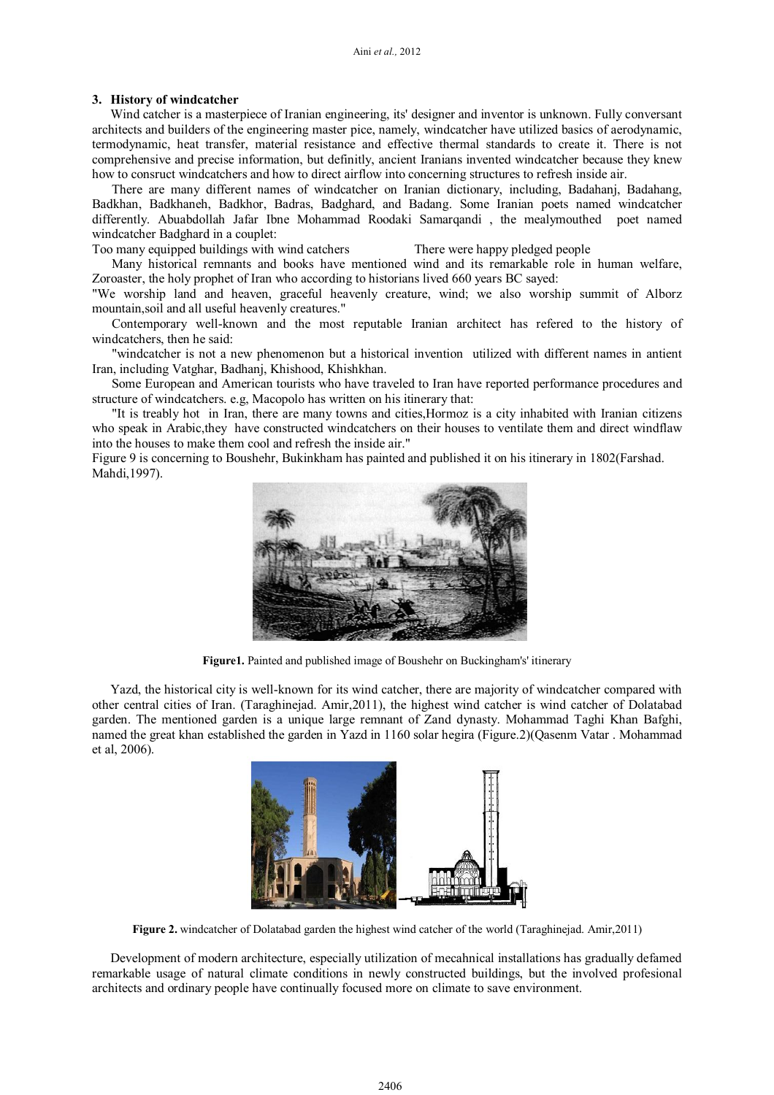#### **3. History of windcatcher**

Wind catcher is a masterpiece of Iranian engineering, its' designer and inventor is unknown. Fully conversant architects and builders of the engineering master pice, namely, windcatcher have utilized basics of aerodynamic, termodynamic, heat transfer, material resistance and effective thermal standards to create it. There is not comprehensive and precise information, but definitly, ancient Iranians invented windcatcher because they knew how to consruct windcatchers and how to direct airflow into concerning structures to refresh inside air.

There are many different names of windcatcher on Iranian dictionary, including, Badahanj, Badahang, Badkhan, Badkhaneh, Badkhor, Badras, Badghard, and Badang. Some Iranian poets named windcatcher differently. Abuabdollah Jafar Ibne Mohammad Roodaki Samarqandi , the mealymouthed poet named windcatcher Badghard in a couplet:

Too many equipped buildings with wind catchers There were happy pledged people

Many historical remnants and books have mentioned wind and its remarkable role in human welfare, Zoroaster, the holy prophet of Iran who according to historians lived 660 years BC sayed:

"We worship land and heaven, graceful heavenly creature, wind; we also worship summit of Alborz mountain,soil and all useful heavenly creatures."

Contemporary well-known and the most reputable Iranian architect has refered to the history of windcatchers, then he said:

"windcatcher is not a new phenomenon but a historical invention utilized with different names in antient Iran, including Vatghar, Badhanj, Khishood, Khishkhan.

Some European and American tourists who have traveled to Iran have reported performance procedures and structure of windcatchers. e.g, Macopolo has written on his itinerary that:

"It is treably hot in Iran, there are many towns and cities,Hormoz is a city inhabited with Iranian citizens who speak in Arabic, they have constructed windcatchers on their houses to ventilate them and direct windflaw into the houses to make them cool and refresh the inside air."

Figure 9 is concerning to Boushehr, Bukinkham has painted and published it on his itinerary in 1802(Farshad. Mahdi,1997).



**Figure1.** Painted and published image of Boushehr on Buckingham's' itinerary

Yazd, the historical city is well-known for its wind catcher, there are majority of windcatcher compared with other central cities of Iran. (Taraghinejad. Amir,2011), the highest wind catcher is wind catcher of Dolatabad garden. The mentioned garden is a unique large remnant of Zand dynasty. Mohammad Taghi Khan Bafghi, named the great khan established the garden in Yazd in 1160 solar hegira (Figure.2)(Qasenm Vatar . Mohammad et al, 2006).



**Figure 2.** windcatcher of Dolatabad garden the highest wind catcher of the world (Taraghinejad. Amir,2011)

Development of modern architecture, especially utilization of mecahnical installations has gradually defamed remarkable usage of natural climate conditions in newly constructed buildings, but the involved profesional architects and ordinary people have continually focused more on climate to save environment.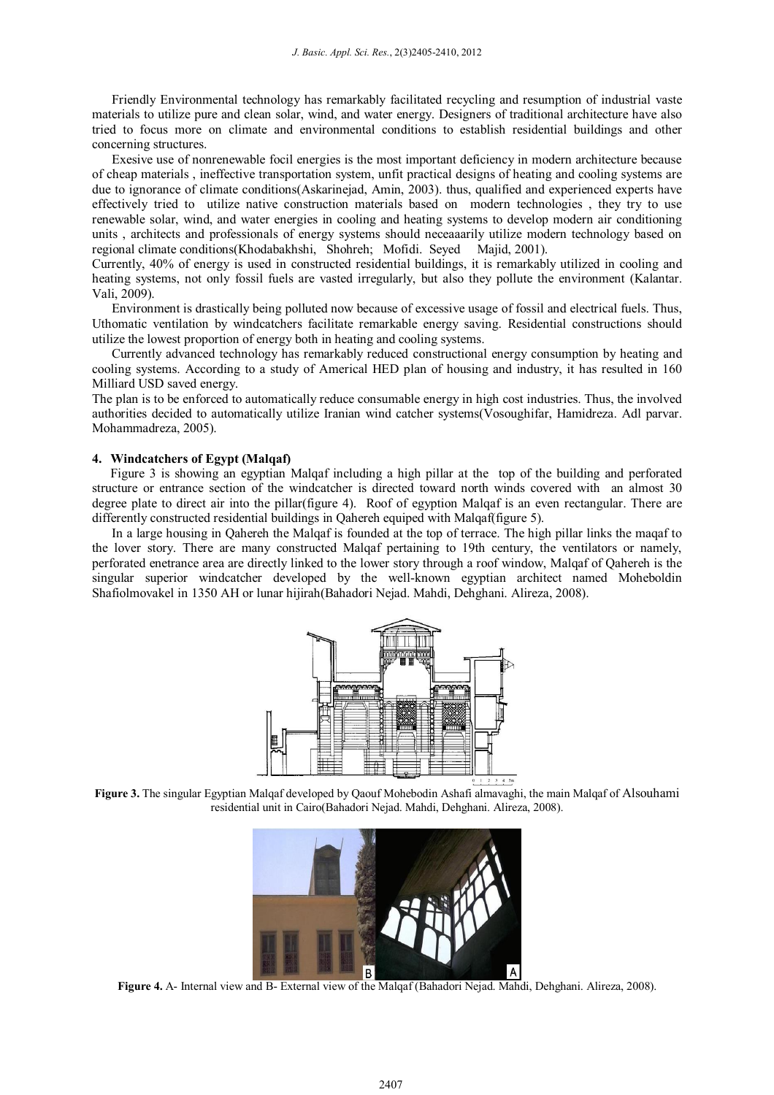Friendly Environmental technology has remarkably facilitated recycling and resumption of industrial vaste materials to utilize pure and clean solar, wind, and water energy. Designers of traditional architecture have also tried to focus more on climate and environmental conditions to establish residential buildings and other concerning structures.

Exesive use of nonrenewable focil energies is the most important deficiency in modern architecture because of cheap materials , ineffective transportation system, unfit practical designs of heating and cooling systems are due to ignorance of climate conditions(Askarinejad, Amin, 2003). thus, qualified and experienced experts have effectively tried to utilize native construction materials based on modern technologies , they try to use renewable solar, wind, and water energies in cooling and heating systems to develop modern air conditioning units , architects and professionals of energy systems should neceaaarily utilize modern technology based on regional climate conditions(Khodabakhshi, Shohreh; Mofidi. Seyed Majid, 2001).

Currently, 40% of energy is used in constructed residential buildings, it is remarkably utilized in cooling and heating systems, not only fossil fuels are vasted irregularly, but also they pollute the environment (Kalantar. Vali, 2009).

Environment is drastically being polluted now because of excessive usage of fossil and electrical fuels. Thus, Uthomatic ventilation by windcatchers facilitate remarkable energy saving. Residential constructions should utilize the lowest proportion of energy both in heating and cooling systems.

Currently advanced technology has remarkably reduced constructional energy consumption by heating and cooling systems. According to a study of Americal HED plan of housing and industry, it has resulted in 160 Milliard USD saved energy.

The plan is to be enforced to automatically reduce consumable energy in high cost industries. Thus, the involved authorities decided to automatically utilize Iranian wind catcher systems(Vosoughifar, Hamidreza. Adl parvar. Mohammadreza, 2005).

#### **4. Windcatchers of Egypt (Malqaf)**

Figure 3 is showing an egyptian Malqaf including a high pillar at the top of the building and perforated structure or entrance section of the windcatcher is directed toward north winds covered with an almost 30 degree plate to direct air into the pillar(figure 4). Roof of egyption Malqaf is an even rectangular. There are differently constructed residential buildings in Qahereh equiped with Malqaf(figure 5).

In a large housing in Qahereh the Malqaf is founded at the top of terrace. The high pillar links the maqaf to the lover story. There are many constructed Malqaf pertaining to 19th century, the ventilators or namely, perforated enetrance area are directly linked to the lower story through a roof window, Malqaf of Qahereh is the singular superior windcatcher developed by the well-known egyptian architect named Moheboldin Shafiolmovakel in 1350 AH or lunar hijirah(Bahadori Nejad. Mahdi, Dehghani. Alireza, 2008).



**Figure 3.** The singular Egyptian Malqaf developed by Qaouf Mohebodin Ashafi almavaghi, the main Malqaf of Alsouhami residential unit in Cairo(Bahadori Nejad. Mahdi, Dehghani. Alireza, 2008).



**Figure 4.** A- Internal view and B- External view of the Malqaf (Bahadori Nejad. Mahdi, Dehghani. Alireza, 2008).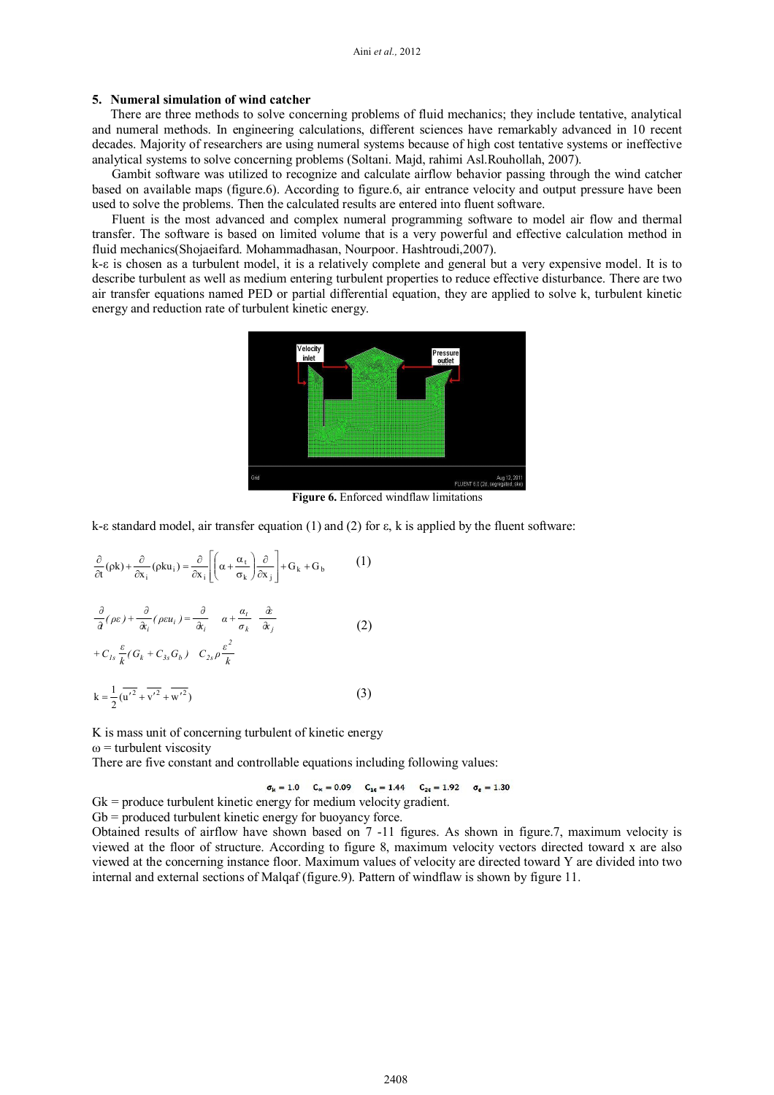## **5. Numeral simulation of wind catcher**

There are three methods to solve concerning problems of fluid mechanics; they include tentative, analytical and numeral methods. In engineering calculations, different sciences have remarkably advanced in 10 recent decades. Majority of researchers are using numeral systems because of high cost tentative systems or ineffective analytical systems to solve concerning problems (Soltani. Majd, rahimi Asl.Rouhollah, 2007).

Gambit software was utilized to recognize and calculate airflow behavior passing through the wind catcher based on available maps (figure.6). According to figure.6, air entrance velocity and output pressure have been used to solve the problems. Then the calculated results are entered into fluent software.

Fluent is the most advanced and complex numeral programming software to model air flow and thermal transfer. The software is based on limited volume that is a very powerful and effective calculation method in fluid mechanics(Shojaeifard. Mohammadhasan, Nourpoor. Hashtroudi,2007).

k-ε is chosen as a turbulent model, it is a relatively complete and general but a very expensive model. It is to describe turbulent as well as medium entering turbulent properties to reduce effective disturbance. There are two air transfer equations named PED or partial differential equation, they are applied to solve k, turbulent kinetic energy and reduction rate of turbulent kinetic energy.



**Figure 6.** Enforced windflaw limitations

k-ε standard model, air transfer equation (1) and (2) for ε, k is applied by the fluent software:

$$
\frac{\partial}{\partial t}(\rho k) + \frac{\partial}{\partial x_i}(\rho k u_i) = \frac{\partial}{\partial x_i} \left[ \left( \alpha + \frac{\alpha_t}{\sigma_k} \right) \frac{\partial}{\partial x_j} \right] + G_k + G_b \qquad (1)
$$
  

$$
\frac{\partial}{\partial t}(\rho \varepsilon) + \frac{\partial}{\partial x_i}(\rho \varepsilon u_i) = \frac{\partial}{\partial x_i} \qquad \alpha + \frac{\alpha_t}{\sigma_k} \frac{\partial}{\partial x_j}
$$
  

$$
+ C_{Is} \frac{\varepsilon}{k} (G_k + C_{3s} G_b) \quad C_{2s} \rho \frac{\varepsilon^2}{k}
$$
  

$$
k = \frac{1}{2} (\overline{u'^2} + \overline{v'^2} + \overline{w'^2}) \qquad (3)
$$

K is mass unit of concerning turbulent of kinetic energy  $\omega$  = turbulent viscosity

There are five constant and controllable equations including following values:

 $\sigma_{\rm k} = 1.0$   $C_{\alpha} = 0.09$   $C_{1\epsilon} = 1.44$   $C_{2\epsilon} = 1.92$   $\sigma_{\epsilon} = 1.30$ 

Gk = produce turbulent kinetic energy for medium velocity gradient.

 $Gb =$  produced turbulent kinetic energy for buoyancy force.

Obtained results of airflow have shown based on 7 -11 figures. As shown in figure.7, maximum velocity is viewed at the floor of structure. According to figure 8, maximum velocity vectors directed toward x are also viewed at the concerning instance floor. Maximum values of velocity are directed toward Y are divided into two internal and external sections of Malqaf (figure.9). Pattern of windflaw is shown by figure 11.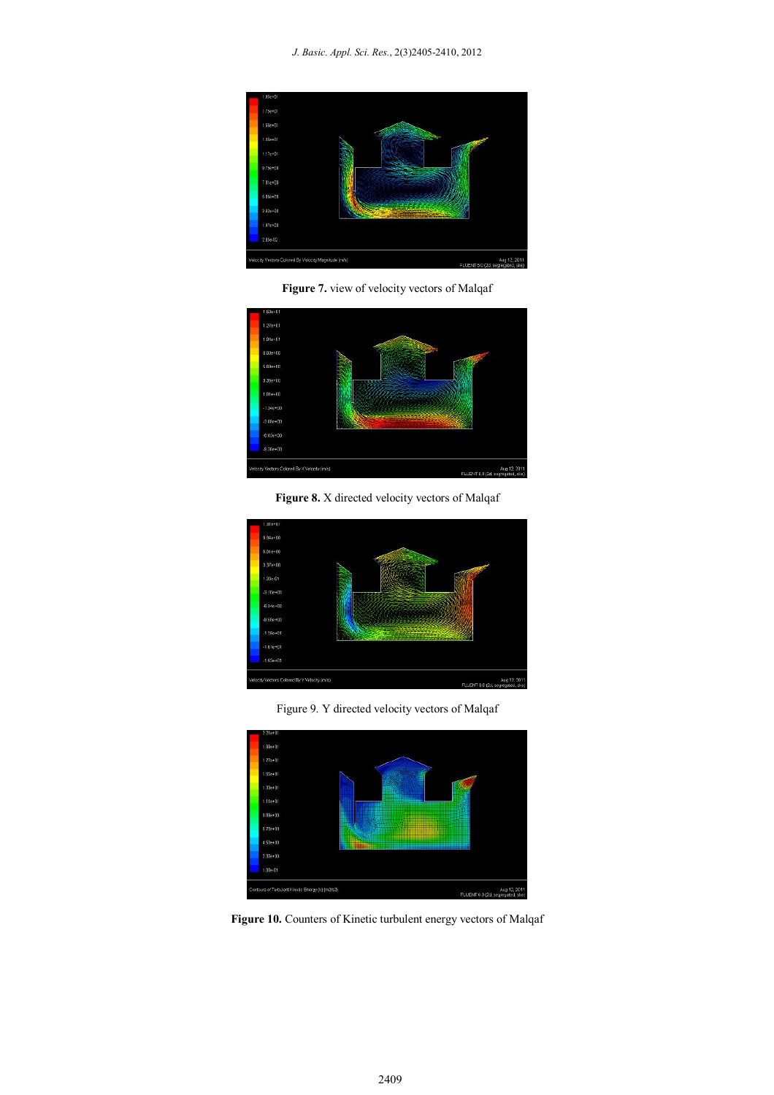

**Figure 7.** view of velocity vectors of Malqaf



**Figure 8.** X directed velocity vectors of Malqaf



Figure 9. Y directed velocity vectors of Malqaf



**Figure 10.** Counters of Kinetic turbulent energy vectors of Malqaf